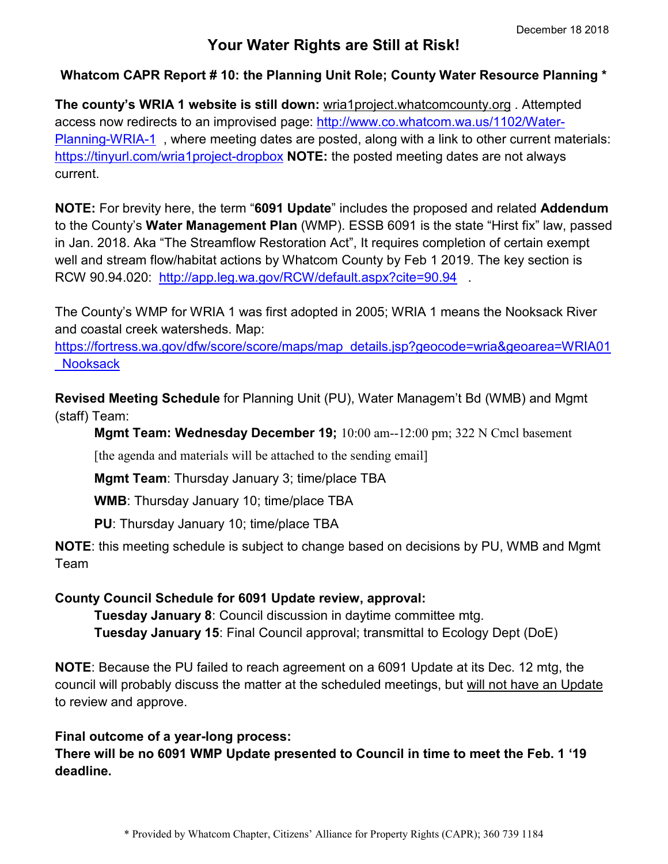## **Your Water Rights are Still at Risk!**

## **Whatcom CAPR Report # 10: the Planning Unit Role; County Water Resource Planning \***

**The county's WRIA 1 website is still down:** wria1project.whatcomcounty.org . Attempted access now redirects to an improvised page: [http://www.co.whatcom.wa.us/1102/Water-](http://www.co.whatcom.wa.us/1102/Water-Planning-WRIA-1)[Planning-WRIA-1](http://www.co.whatcom.wa.us/1102/Water-Planning-WRIA-1) , where meeting dates are posted, along with a link to other current materials: <https://tinyurl.com/wria1project-dropbox> **NOTE:** the posted meeting dates are not always current.

**NOTE:** For brevity here, the term "**6091 Update**" includes the proposed and related **Addendum** to the County's **Water Management Plan** (WMP). ESSB 6091 is the state "Hirst fix" law, passed in Jan. 2018. Aka "The Streamflow Restoration Act", It requires completion of certain exempt well and stream flow/habitat actions by Whatcom County by Feb 1 2019. The key section is RCW 90.94.020: <http://app.leg.wa.gov/RCW/default.aspx?cite=90.94>.

The County's WMP for WRIA 1 was first adopted in 2005; WRIA 1 means the Nooksack River and coastal creek watersheds. Map:

[https://fortress.wa.gov/dfw/score/score/maps/map\\_details.jsp?geocode=wria&geoarea=WRIA01](https://fortress.wa.gov/dfw/score/score/maps/map_details.jsp?geocode=wria&geoarea=WRIA01_Nooksack) [\\_Nooksack](https://fortress.wa.gov/dfw/score/score/maps/map_details.jsp?geocode=wria&geoarea=WRIA01_Nooksack)

**Revised Meeting Schedule** for Planning Unit (PU), Water Managem't Bd (WMB) and Mgmt (staff) Team:

**Mgmt Team: Wednesday December 19;** 10:00 am--12:00 pm; 322 N Cmcl basement

[the agenda and materials will be attached to the sending email]

**Mgmt Team**: Thursday January 3; time/place TBA

**WMB**: Thursday January 10; time/place TBA

**PU**: Thursday January 10; time/place TBA

**NOTE**: this meeting schedule is subject to change based on decisions by PU, WMB and Mgmt Team

## **County Council Schedule for 6091 Update review, approval:**

**Tuesday January 8**: Council discussion in daytime committee mtg. **Tuesday January 15**: Final Council approval; transmittal to Ecology Dept (DoE)

**NOTE**: Because the PU failed to reach agreement on a 6091 Update at its Dec. 12 mtg, the council will probably discuss the matter at the scheduled meetings, but will not have an Update to review and approve.

## **Final outcome of a year-long process:**

**There will be no 6091 WMP Update presented to Council in time to meet the Feb. 1 '19 deadline.**